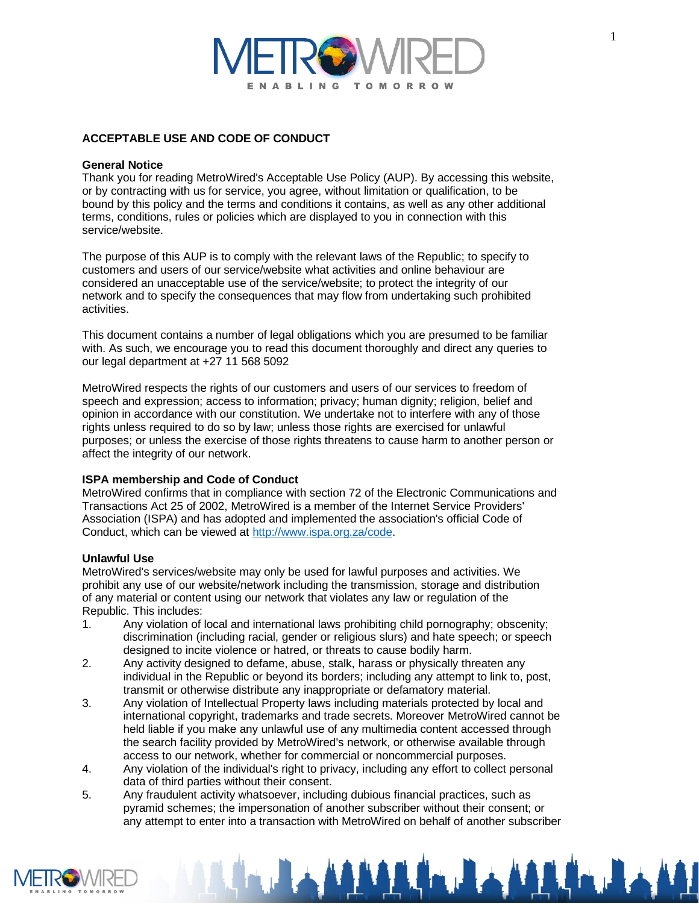# BLING **TOMOR**

# **ACCEPTABLE USE AND CODE OF CONDUCT**

# **General Notice**

Thank you for reading MetroWired's Acceptable Use Policy (AUP). By accessing this website, or by contracting with us for service, you agree, without limitation or qualification, to be bound by this policy and the terms and conditions it contains, as well as any other additional terms, conditions, rules or policies which are displayed to you in connection with this service/website.

The purpose of this AUP is to comply with the relevant laws of the Republic; to specify to customers and users of our service/website what activities and online behaviour are considered an unacceptable use of the service/website; to protect the integrity of our network and to specify the consequences that may flow from undertaking such prohibited activities.

This document contains a number of legal obligations which you are presumed to be familiar with. As such, we encourage you to read this document thoroughly and direct any queries to our legal department at +27 11 568 5092

MetroWired respects the rights of our customers and users of our services to freedom of speech and expression; access to information; privacy; human dignity; religion, belief and opinion in accordance with our constitution. We undertake not to interfere with any of those rights unless required to do so by law; unless those rights are exercised for unlawful purposes; or unless the exercise of those rights threatens to cause harm to another person or affect the integrity of our network.

# **ISPA membership and Code of Conduct**

MetroWired confirms that in compliance with section 72 of the Electronic Communications and Transactions Act 25 of 2002, MetroWired is a member of the Internet Service Providers' Association (ISPA) and has adopted and implemented the association's official Code of Conduct, which can be viewed at [http://www.ispa.org.za/code.](http://www.ispa.org.za/code)

# **Unlawful Use**

MetroWired's services/website may only be used for lawful purposes and activities. We prohibit any use of our website/network including the transmission, storage and distribution of any material or content using our network that violates any law or regulation of the Republic. This includes:

- 1. Any violation of local and international laws prohibiting child pornography; obscenity; discrimination (including racial, gender or religious slurs) and hate speech; or speech designed to incite violence or hatred, or threats to cause bodily harm.
- 2. Any activity designed to defame, abuse, stalk, harass or physically threaten any individual in the Republic or beyond its borders; including any attempt to link to, post, transmit or otherwise distribute any inappropriate or defamatory material.
- 3. Any violation of Intellectual Property laws including materials protected by local and international copyright, trademarks and trade secrets. Moreover MetroWired cannot be held liable if you make any unlawful use of any multimedia content accessed through the search facility provided by MetroWired's network, or otherwise available through access to our network, whether for commercial or noncommercial purposes.
- 4. Any violation of the individual's right to privacy, including any effort to collect personal data of third parties without their consent.
- 5. Any fraudulent activity whatsoever, including dubious financial practices, such as pyramid schemes; the impersonation of another subscriber without their consent; or any attempt to enter into a transaction with MetroWired on behalf of another subscriber



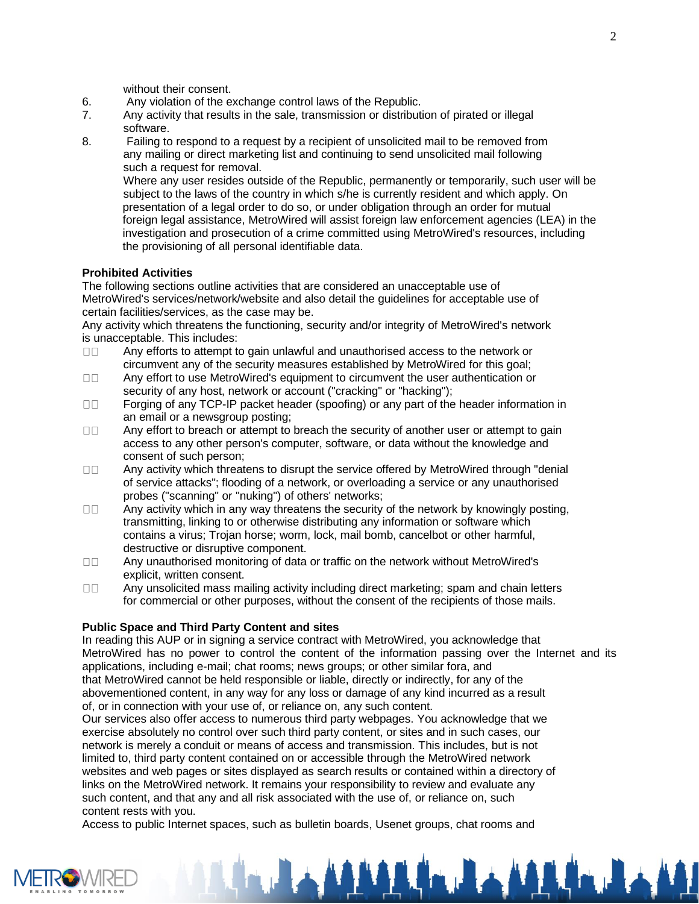without their consent.

- 6. Any violation of the exchange control laws of the Republic.
- 7. Any activity that results in the sale, transmission or distribution of pirated or illegal software.
- 8. Failing to respond to a request by a recipient of unsolicited mail to be removed from any mailing or direct marketing list and continuing to send unsolicited mail following such a request for removal.

Where any user resides outside of the Republic, permanently or temporarily, such user will be subject to the laws of the country in which s/he is currently resident and which apply. On presentation of a legal order to do so, or under obligation through an order for mutual foreign legal assistance, MetroWired will assist foreign law enforcement agencies (LEA) in the investigation and prosecution of a crime committed using MetroWired's resources, including the provisioning of all personal identifiable data.

# **Prohibited Activities**

The following sections outline activities that are considered an unacceptable use of MetroWired's services/network/website and also detail the guidelines for acceptable use of certain facilities/services, as the case may be.

Any activity which threatens the functioning, security and/or integrity of MetroWired's network is unacceptable. This includes:

- Any efforts to attempt to gain unlawful and unauthorised access to the network or  $\Box$ Box circumvent any of the security measures established by MetroWired for this goal;
- $\Box$ Box Any effort to use MetroWired's equipment to circumvent the user authentication or security of any host, network or account ("cracking" or "hacking");
- $\Box \Box$ Forging of any TCP-IP packet header (spoofing) or any part of the header information in an email or a newsgroup posting;
- Any effort to breach or attempt to breach the security of another user or attempt to gain  $\Box$ access to any other person's computer, software, or data without the knowledge and consent of such person;
- $\Box$ Box Any activity which threatens to disrupt the service offered by MetroWired through "denial of service attacks"; flooding of a network, or overloading a service or any unauthorised probes ("scanning" or "nuking") of others' networks;
- Any activity which in any way threatens the security of the network by knowingly posting,  $\Box$ Box transmitting, linking to or otherwise distributing any information or software which contains a virus; Trojan horse; worm, lock, mail bomb, cancelbot or other harmful, destructive or disruptive component.
- $\Box\Box$ Any unauthorised monitoring of data or traffic on the network without MetroWired's explicit, written consent.
- Any unsolicited mass mailing activity including direct marketing; spam and chain letters  $\Box$ for commercial or other purposes, without the consent of the recipients of those mails.

# **Public Space and Third Party Content and sites**

In reading this AUP or in signing a service contract with MetroWired, you acknowledge that MetroWired has no power to control the content of the information passing over the Internet and its applications, including e-mail; chat rooms; news groups; or other similar fora, and that MetroWired cannot be held responsible or liable, directly or indirectly, for any of the abovementioned content, in any way for any loss or damage of any kind incurred as a result of, or in connection with your use of, or reliance on, any such content.

Our services also offer access to numerous third party webpages. You acknowledge that we exercise absolutely no control over such third party content, or sites and in such cases, our network is merely a conduit or means of access and transmission. This includes, but is not limited to, third party content contained on or accessible through the MetroWired network websites and web pages or sites displayed as search results or contained within a directory of links on the MetroWired network. It remains your responsibility to review and evaluate any such content, and that any and all risk associated with the use of, or reliance on, such content rests with you.

Access to public Internet spaces, such as bulletin boards, Usenet groups, chat rooms and

**The Land Address** 

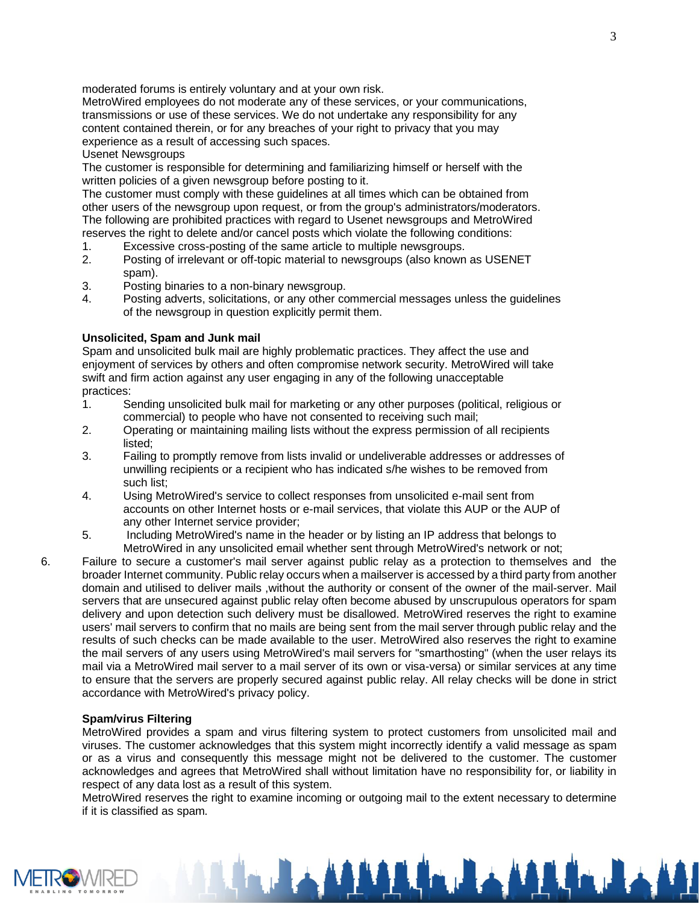moderated forums is entirely voluntary and at your own risk.

MetroWired employees do not moderate any of these services, or your communications, transmissions or use of these services. We do not undertake any responsibility for any content contained therein, or for any breaches of your right to privacy that you may experience as a result of accessing such spaces.

## Usenet Newsgroups

The customer is responsible for determining and familiarizing himself or herself with the written policies of a given newsgroup before posting to it.

The customer must comply with these guidelines at all times which can be obtained from other users of the newsgroup upon request, or from the group's administrators/moderators. The following are prohibited practices with regard to Usenet newsgroups and MetroWired reserves the right to delete and/or cancel posts which violate the following conditions:

- 1. Excessive cross-posting of the same article to multiple newsgroups.
- 2. Posting of irrelevant or off-topic material to newsgroups (also known as USENET spam).
- 3. Posting binaries to a non-binary newsgroup.
- 4. Posting adverts, solicitations, or any other commercial messages unless the guidelines of the newsgroup in question explicitly permit them.

## **Unsolicited, Spam and Junk mail**

Spam and unsolicited bulk mail are highly problematic practices. They affect the use and enjoyment of services by others and often compromise network security. MetroWired will take swift and firm action against any user engaging in any of the following unacceptable practices:

- 1. Sending unsolicited bulk mail for marketing or any other purposes (political, religious or commercial) to people who have not consented to receiving such mail;
- 2. Operating or maintaining mailing lists without the express permission of all recipients listed;
- 3. Failing to promptly remove from lists invalid or undeliverable addresses or addresses of unwilling recipients or a recipient who has indicated s/he wishes to be removed from such list;
- 4. Using MetroWired's service to collect responses from unsolicited e-mail sent from accounts on other Internet hosts or e-mail services, that violate this AUP or the AUP of any other Internet service provider;
- 5. Including MetroWired's name in the header or by listing an IP address that belongs to MetroWired in any unsolicited email whether sent through MetroWired's network or not;
- 6. Failure to secure a customer's mail server against public relay as a protection to themselves and the broader Internet community. Public relay occurs when a mailserver is accessed by a third party from another domain and utilised to deliver mails ,without the authority or consent of the owner of the mail-server. Mail servers that are unsecured against public relay often become abused by unscrupulous operators for spam delivery and upon detection such delivery must be disallowed. MetroWired reserves the right to examine users' mail servers to confirm that no mails are being sent from the mail server through public relay and the results of such checks can be made available to the user. MetroWired also reserves the right to examine the mail servers of any users using MetroWired's mail servers for "smarthosting" (when the user relays its mail via a MetroWired mail server to a mail server of its own or visa-versa) or similar services at any time to ensure that the servers are properly secured against public relay. All relay checks will be done in strict accordance with MetroWired's privacy policy.

#### **Spam/virus Filtering**

MetroWired provides a spam and virus filtering system to protect customers from unsolicited mail and viruses. The customer acknowledges that this system might incorrectly identify a valid message as spam or as a virus and consequently this message might not be delivered to the customer. The customer acknowledges and agrees that MetroWired shall without limitation have no responsibility for, or liability in respect of any data lost as a result of this system.

MetroWired reserves the right to examine incoming or outgoing mail to the extent necessary to determine if it is classified as spam.

**THE ALLALA** 

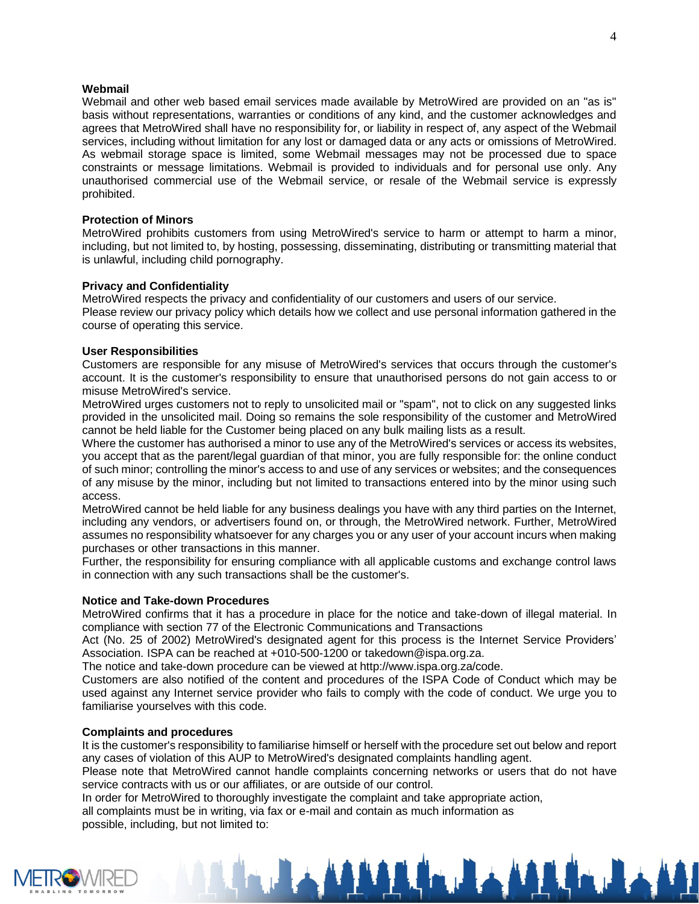## **Webmail**

Webmail and other web based email services made available by MetroWired are provided on an "as is" basis without representations, warranties or conditions of any kind, and the customer acknowledges and agrees that MetroWired shall have no responsibility for, or liability in respect of, any aspect of the Webmail services, including without limitation for any lost or damaged data or any acts or omissions of MetroWired. As webmail storage space is limited, some Webmail messages may not be processed due to space constraints or message limitations. Webmail is provided to individuals and for personal use only. Any unauthorised commercial use of the Webmail service, or resale of the Webmail service is expressly prohibited.

## **Protection of Minors**

MetroWired prohibits customers from using MetroWired's service to harm or attempt to harm a minor, including, but not limited to, by hosting, possessing, disseminating, distributing or transmitting material that is unlawful, including child pornography.

## **Privacy and Confidentiality**

MetroWired respects the privacy and confidentiality of our customers and users of our service. Please review our privacy policy which details how we collect and use personal information gathered in the course of operating this service.

## **User Responsibilities**

Customers are responsible for any misuse of MetroWired's services that occurs through the customer's account. It is the customer's responsibility to ensure that unauthorised persons do not gain access to or misuse MetroWired's service.

MetroWired urges customers not to reply to unsolicited mail or "spam", not to click on any suggested links provided in the unsolicited mail. Doing so remains the sole responsibility of the customer and MetroWired cannot be held liable for the Customer being placed on any bulk mailing lists as a result.

Where the customer has authorised a minor to use any of the MetroWired's services or access its websites, you accept that as the parent/legal guardian of that minor, you are fully responsible for: the online conduct of such minor; controlling the minor's access to and use of any services or websites; and the consequences of any misuse by the minor, including but not limited to transactions entered into by the minor using such access.

MetroWired cannot be held liable for any business dealings you have with any third parties on the Internet, including any vendors, or advertisers found on, or through, the MetroWired network. Further, MetroWired assumes no responsibility whatsoever for any charges you or any user of your account incurs when making purchases or other transactions in this manner.

Further, the responsibility for ensuring compliance with all applicable customs and exchange control laws in connection with any such transactions shall be the customer's.

#### **Notice and Take-down Procedures**

MetroWired confirms that it has a procedure in place for the notice and take-down of illegal material. In compliance with section 77 of the Electronic Communications and Transactions

Act (No. 25 of 2002) MetroWired's designated agent for this process is the Internet Service Providers' Association. ISPA can be reached at +010-500-1200 or takedown@ispa.org.za.

The notice and take-down procedure can be viewed at http://www.ispa.org.za/code.

Customers are also notified of the content and procedures of the ISPA Code of Conduct which may be used against any Internet service provider who fails to comply with the code of conduct. We urge you to familiarise yourselves with this code.

# **Complaints and procedures**

It is the customer's responsibility to familiarise himself or herself with the procedure set out below and report any cases of violation of this AUP to MetroWired's designated complaints handling agent.

Please note that MetroWired cannot handle complaints concerning networks or users that do not have service contracts with us or our affiliates, or are outside of our control.

In order for MetroWired to thoroughly investigate the complaint and take appropriate action,

all complaints must be in writing, via fax or e-mail and contain as much information as possible, including, but not limited to: